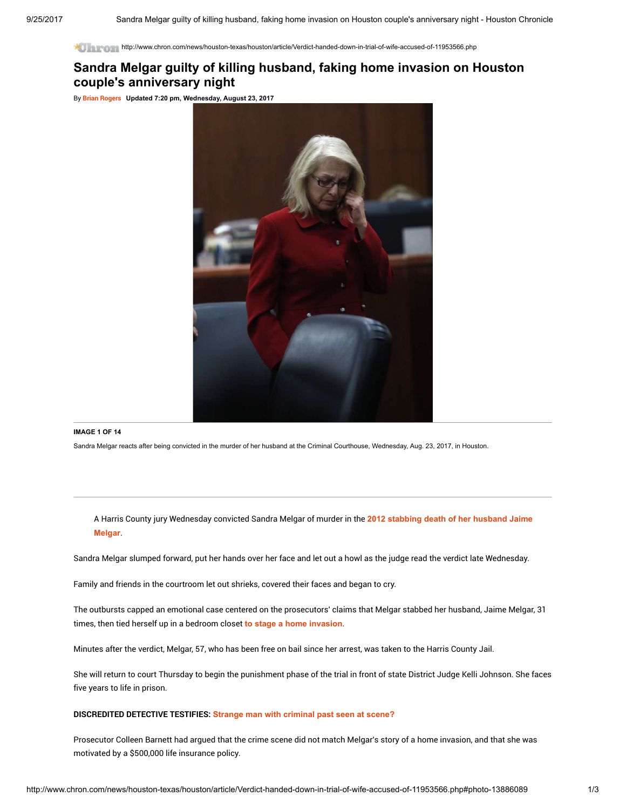http://www.chron.com/news/houston-texas/houston/article/Verdict-handed-down-in-trial-of-wife-accused-of-11953566.php

## Sandra Melgar guilty of killing husband, faking home invasion on Houston couple's anniversary night

By Brian [Rogers](http://www.chron.com/author/brian-j-rogers/) Updated 7:20 pm, Wednesday, August 23, 2017



## IMAGE 1 OF 14

Sandra Melgar reacts after being convicted in the murder of her husband at the Criminal Courthouse, Wednesday, Aug. 23, 2017, in Houston.

A Harris County jury [Wednesday](http://www.chron.com/neighborhood/champions-klein/news/article/NW-Harris-County-man-found-stabbed-to-death-9478721.php) convicted Sandra Melgar of murder in the 2012 stabbing death of her husband Jaime **Melgar** 

Sandra Melgar slumped forward, put her hands over her face and let out a howl as the judge read the verdict late Wednesday.

Family and friends in the courtroom let out shrieks, covered their faces and began to cry.

The outbursts capped an emotional case centered on the prosecutors' claims that Melgar stabbed her husband, Jaime Melgar, 31 times, then tied herself up in a bedroom closet to stage a home [invasion](http://www.chron.com/houston/article/Wife-accused-of-husband-s-murder-5660830.php).

Minutes after the verdict, Melgar, 57, who has been free on bail since her arrest, was taken to the Harris County Jail.

She will return to court Thursday to begin the punishment phase of the trial in front of state District Judge Kelli Johnson. She faces five years to life in prison.

## DISCREDITED DETECTIVE TESTIFIES: Strange man with [criminal](http://www.chron.com/news/houston-texas/article/Disgraced-detective-testifies-in-murder-trial-of-11859345.php) past seen at scene?

Prosecutor Colleen Barnett had argued that the crime scene did not match Melgar's story of a home invasion, and that she was motivated by a \$500,000 life insurance policy.